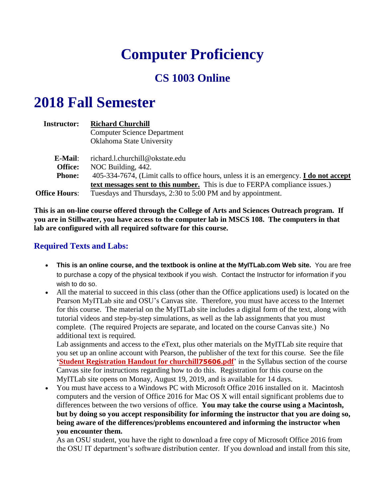# **Computer Proficiency**

# **CS 1003 Online**

# **2018 Fall Semester**

| <b>Instructor:</b>   | <b>Richard Churchill</b>                                                               |  |  |  |  |  |  |  |
|----------------------|----------------------------------------------------------------------------------------|--|--|--|--|--|--|--|
|                      | <b>Computer Science Department</b>                                                     |  |  |  |  |  |  |  |
|                      | Oklahoma State University                                                              |  |  |  |  |  |  |  |
| E-Mail:              | richard.l.churchill@okstate.edu                                                        |  |  |  |  |  |  |  |
| <b>Office:</b>       | NOC Building, 442.                                                                     |  |  |  |  |  |  |  |
| <b>Phone:</b>        | 405-334-7674, (Limit calls to office hours, unless it is an emergency. I do not accept |  |  |  |  |  |  |  |
|                      | text messages sent to this number. This is due to FERPA compliance issues.)            |  |  |  |  |  |  |  |
| <b>Office Hours:</b> | Tuesdays and Thursdays, 2:30 to 5:00 PM and by appointment.                            |  |  |  |  |  |  |  |

**This is an on-line course offered through the College of Arts and Sciences Outreach program. If you are in Stillwater, you have access to the computer lab in MSCS 108. The computers in that lab are configured with all required software for this course.**

# **Required Texts and Labs:**

- **This is an online course, and the textbook is online at the MyITLab.com Web site.** You are free to purchase a copy of the physical textbook if you wish. Contact the Instructor for information if you wish to do so.
- All the material to succeed in this class (other than the Office applications used) is located on the Pearson MyITLab site and OSU's Canvas site. Therefore, you must have access to the Internet for this course. The material on the MyITLab site includes a digital form of the text, along with tutorial videos and step-by-step simulations, as well as the lab assignments that you must complete. (The required Projects are separate, and located on the course Canvas site.) No additional text is required.

Lab assignments and access to the eText, plus other materials on the MyITLab site require that you set up an online account with Pearson, the publisher of the text for this course. See the file **'Student Registration Handout for churchill<sup>75606</sup>.pdf<sup>'</sup> in the Syllabus section of the course** Canvas site for instructions regarding how to do this. Registration for this course on the MyITLab site opens on Monay, August 19, 2019, and is available for 14 days.

 You must have access to a Windows PC with Microsoft Office 2016 installed on it. Macintosh computers and the version of Office 2016 for Mac OS X will entail significant problems due to differences between the two versions of office. **You may take the course using a Macintosh, but by doing so you accept responsibility for informing the instructor that you are doing so, being aware of the differences/problems encountered and informing the instructor when you encounter them.**

As an OSU student, you have the right to download a free copy of Microsoft Office 2016 from the OSU IT department's software distribution center. If you download and install from this site,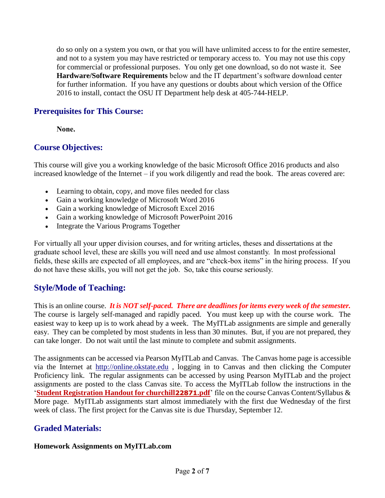do so only on a system you own, or that you will have unlimited access to for the entire semester, and not to a system you may have restricted or temporary access to. You may not use this copy for commercial or professional purposes. You only get one download, so do not waste it. See **Hardware/Software Requirements** below and the IT department's software download center for further information. If you have any questions or doubts about which version of the Office 2016 to install, contact the OSU IT Department help desk at 405-744-HELP.

#### **Prerequisites for This Course:**

**None.**

## **Course Objectives:**

This course will give you a working knowledge of the basic Microsoft Office 2016 products and also increased knowledge of the Internet – if you work diligently and read the book. The areas covered are:

- Learning to obtain, copy, and move files needed for class
- Gain a working knowledge of Microsoft Word 2016
- Gain a working knowledge of Microsoft Excel 2016
- Gain a working knowledge of Microsoft PowerPoint 2016
- Integrate the Various Programs Together

For virtually all your upper division courses, and for writing articles, theses and dissertations at the graduate school level, these are skills you will need and use almost constantly. In most professional fields, these skills are expected of all employees, and are "check-box items" in the hiring process. If you do not have these skills, you will not get the job. So, take this course seriously.

# **Style/Mode of Teaching:**

This is an online course. *It is NOT self-paced. There are deadlines for items every week of the semester.* The course is largely self-managed and rapidly paced. You must keep up with the course work. The easiest way to keep up is to work ahead by a week. The MyITLab assignments are simple and generally easy. They can be completed by most students in less than 30 minutes. But, if you are not prepared, they can take longer. Do not wait until the last minute to complete and submit assignments.

The assignments can be accessed via Pearson MyITLab and Canvas. The Canvas home page is accessible via the Internet at [http://online.okstate.edu](http://online.okstate.edu/) , logging in to Canvas and then clicking the Computer Proficiency link. The regular assignments can be accessed by using Pearson MyITLab and the project assignments are posted to the class Canvas site. To access the MyITLab follow the instructions in the '**Student Registration Handout for churchill22871.pdf**' file on the course Canvas Content/Syllabus & More page. MyITLab assignments start almost immediately with the first due Wednesday of the first week of class. The first project for the Canvas site is due Thursday, September 12.

# **Graded Materials:**

#### **Homework Assignments on MyITLab.com**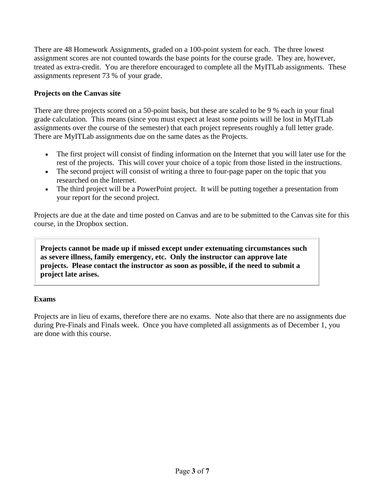There are 48 Homework Assignments, graded on a 100-point system for each. The three lowest assignment scores are not counted towards the base points for the course grade. They are, however, treated as extra-credit. You are therefore encouraged to complete all the MyITLab assignments. These assignments represent 73 % of your grade.

#### **Projects on the Canvas site**

There are three projects scored on a 50-point basis, but these are scaled to be 9 % each in your final grade calculation. This means (since you must expect at least some points will be lost in MyITLab assignments over the course of the semester) that each project represents roughly a full letter grade. There are MyITLab assignments due on the same dates as the Projects.

- The first project will consist of finding information on the Internet that you will later use for the rest of the projects. This will cover your choice of a topic from those listed in the instructions.
- The second project will consist of writing a three to four-page paper on the topic that you researched on the Internet.
- The third project will be a PowerPoint project. It will be putting together a presentation from your report for the second project.

Projects are due at the date and time posted on Canvas and are to be submitted to the Canvas site for this course, in the Dropbox section.

**Projects cannot be made up if missed except under extenuating circumstances such as severe illness, family emergency, etc. Only the instructor can approve late projects. Please contact the instructor as soon as possible, if the need to submit a project late arises.**

#### **Exams**

Projects are in lieu of exams, therefore there are no exams. Note also that there are no assignments due during Pre-Finals and Finals week. Once you have completed all assignments as of December 1, you are done with this course.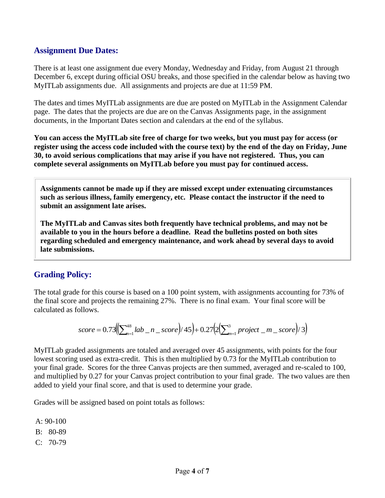#### **Assignment Due Dates:**

There is at least one assignment due every Monday, Wednesday and Friday, from August 21 through December 6, except during official OSU breaks, and those specified in the calendar below as having two MyITLab assignments due. All assignments and projects are due at 11:59 PM.

The dates and times MyITLab assignments are due are posted on MyITLab in the Assignment Calendar page. The dates that the projects are due are on the Canvas Assignments page, in the assignment documents, in the Important Dates section and calendars at the end of the syllabus.

**You can access the MyITLab site free of charge for two weeks, but you must pay for access (or register using the access code included with the course text) by the end of the day on Friday, June 30, to avoid serious complications that may arise if you have not registered. Thus, you can complete several assignments on MyITLab before you must pay for continued access.**

**Assignments cannot be made up if they are missed except under extenuating circumstances such as serious illness, family emergency, etc. Please contact the instructor if the need to submit an assignment late arises.**

**The MyITLab and Canvas sites both frequently have technical problems, and may not be available to you in the hours before a deadline. Read the bulletins posted on both sites regarding scheduled and emergency maintenance, and work ahead by several days to avoid late submissions.**

# **Grading Policy:**

The total grade for this course is based on a 100 point system, with assignments accounting for 73% of the final score and projects the remaining 27%. There is no final exam. Your final score will be calculated as follows.

score = 
$$
0.73 \left( \sum_{n=1}^{48} lab_n - x \right) \cdot 45 + 0.27 \left( 2 \left( \sum_{m=1}^{3} project_m - x \right) \cdot 3 \right)
$$

MyITLab graded assignments are totaled and averaged over 45 assignments, with points for the four lowest scoring used as extra-credit. This is then multiplied by 0.73 for the MyITLab contribution to your final grade. Scores for the three Canvas projects are then summed, averaged and re-scaled to 100, and multiplied by 0.27 for your Canvas project contribution to your final grade. The two values are then added to yield your final score, and that is used to determine your grade.

Grades will be assigned based on point totals as follows:

A: 90-100 B: 80-89  $C: 70-79$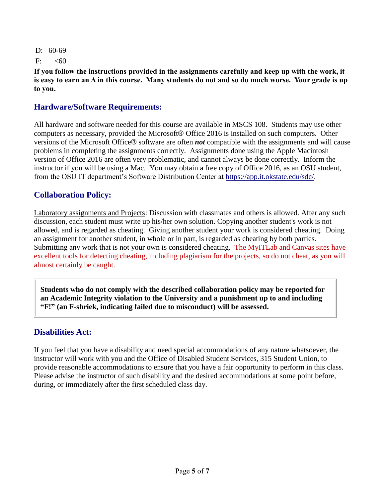D: 60-69

F:  $< 60$ 

**If you follow the instructions provided in the assignments carefully and keep up with the work, it is easy to earn an A in this course. Many students do not and so do much worse. Your grade is up to you.**

## **Hardware/Software Requirements:**

All hardware and software needed for this course are available in MSCS 108. Students may use other computers as necessary, provided the Microsoft® Office 2016 is installed on such computers. Other versions of the Microsoft Office® software are often *not* compatible with the assignments and will cause problems in completing the assignments correctly. Assignments done using the Apple Macintosh version of Office 2016 are often very problematic, and cannot always be done correctly. Inform the instructor if you will be using a Mac. You may obtain a free copy of Office 2016, as an OSU student, from the OSU IT department's Software Distribution Center at [https://app.it.okstate.edu/sdc/.](https://app.it.okstate.edu/sdc/)

## **Collaboration Policy:**

Laboratory assignments and Projects: Discussion with classmates and others is allowed. After any such discussion, each student must write up his/her own solution. Copying another student's work is not allowed, and is regarded as cheating. Giving another student your work is considered cheating. Doing an assignment for another student, in whole or in part, is regarded as cheating by both parties. Submitting any work that is not your own is considered cheating. The MyITLab and Canvas sites have excellent tools for detecting cheating, including plagiarism for the projects, so do not cheat, as you will almost certainly be caught.

**Students who do not comply with the described collaboration policy may be reported for an Academic Integrity violation to the University and a punishment up to and including "F!" (an F-shriek, indicating failed due to misconduct) will be assessed.** 

#### **Disabilities Act:**

If you feel that you have a disability and need special accommodations of any nature whatsoever, the instructor will work with you and the Office of Disabled Student Services, 315 Student Union, to provide reasonable accommodations to ensure that you have a fair opportunity to perform in this class. Please advise the instructor of such disability and the desired accommodations at some point before, during, or immediately after the first scheduled class day.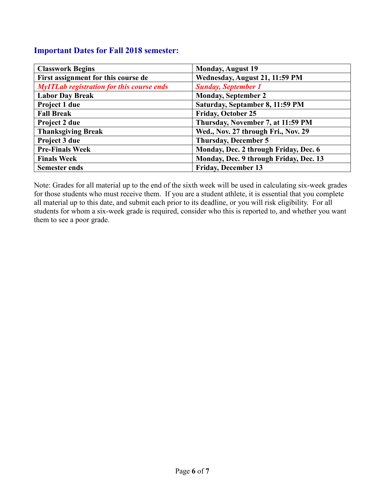#### **Important Dates for Fall 2018 semester:**

| <b>Classwork Begins</b>                          | <b>Monday, August 19</b>               |  |  |  |
|--------------------------------------------------|----------------------------------------|--|--|--|
| First assignment for this course de              | Wednesday, August 21, 11:59 PM         |  |  |  |
| <b>MyITLab registration for this course ends</b> | <b>Sunday, September 1</b>             |  |  |  |
| <b>Labor Day Break</b>                           | <b>Monday, September 2</b>             |  |  |  |
| Project 1 due                                    | Saturday, Septamber 8, 11:59 PM        |  |  |  |
| <b>Fall Break</b>                                | <b>Friday, October 25</b>              |  |  |  |
| Project 2 due                                    | Thursday, November 7, at 11:59 PM      |  |  |  |
| <b>Thanksgiving Break</b>                        | Wed., Nov. 27 through Fri., Nov. 29    |  |  |  |
| Project 3 due                                    | <b>Thursday, December 5</b>            |  |  |  |
| <b>Pre-Finals Week</b>                           | Monday, Dec. 2 through Friday, Dec. 6  |  |  |  |
| <b>Finals Week</b>                               | Monday, Dec. 9 through Friday, Dec. 13 |  |  |  |
| <b>Semester ends</b>                             | <b>Friday, December 13</b>             |  |  |  |

Note: Grades for all material up to the end of the sixth week will be used in calculating six-week grades for those students who must receive them. If you are a student athlete, it is essential that you complete all material up to this date, and submit each prior to its deadline, or you will risk eligibility. For all students for whom a six-week grade is required, consider who this is reported to, and whether you want them to see a poor grade.